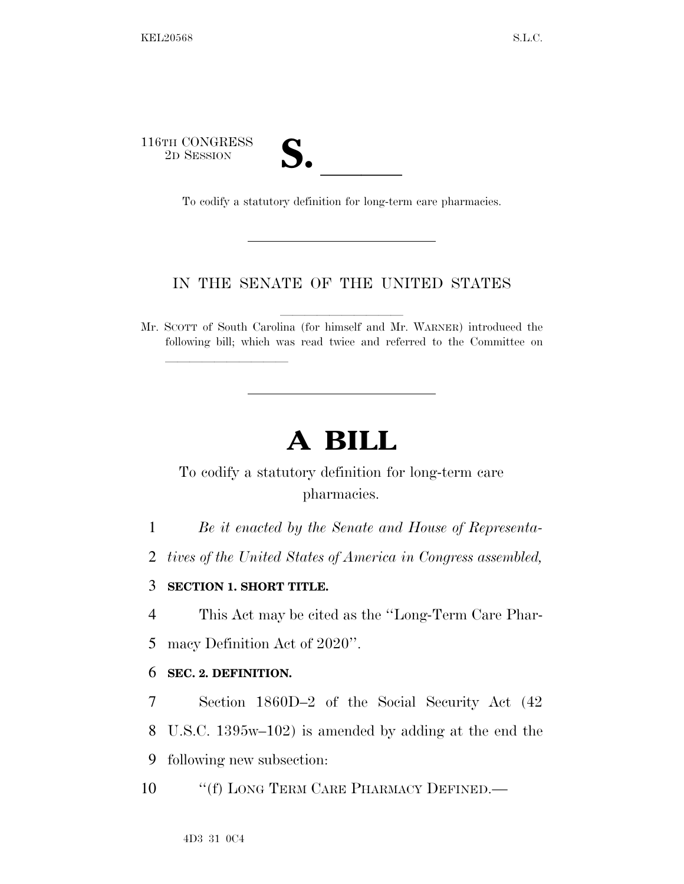116TH CONGRESS TH CONGRESS<br>
2D SESSION<br>
To codify a statutory definition for long-term care pharmacies.

lla se a constituída a constituída a constituída a constituída a constituída a constituída a constituída a con

## IN THE SENATE OF THE UNITED STATES

Mr. SCOTT of South Carolina (for himself and Mr. WARNER) introduced the following bill; which was read twice and referred to the Committee on

# **A BILL**

## To codify a statutory definition for long-term care pharmacies.

- 1 *Be it enacted by the Senate and House of Representa-*
- 2 *tives of the United States of America in Congress assembled,*

### 3 **SECTION 1. SHORT TITLE.**

4 This Act may be cited as the ''Long-Term Care Phar-

5 macy Definition Act of 2020''.

#### 6 **SEC. 2. DEFINITION.**

- 7 Section 1860D–2 of the Social Security Act (42 8 U.S.C. 1395w–102) is amended by adding at the end the 9 following new subsection:
- 10 "(f) LONG TERM CARE PHARMACY DEFINED.—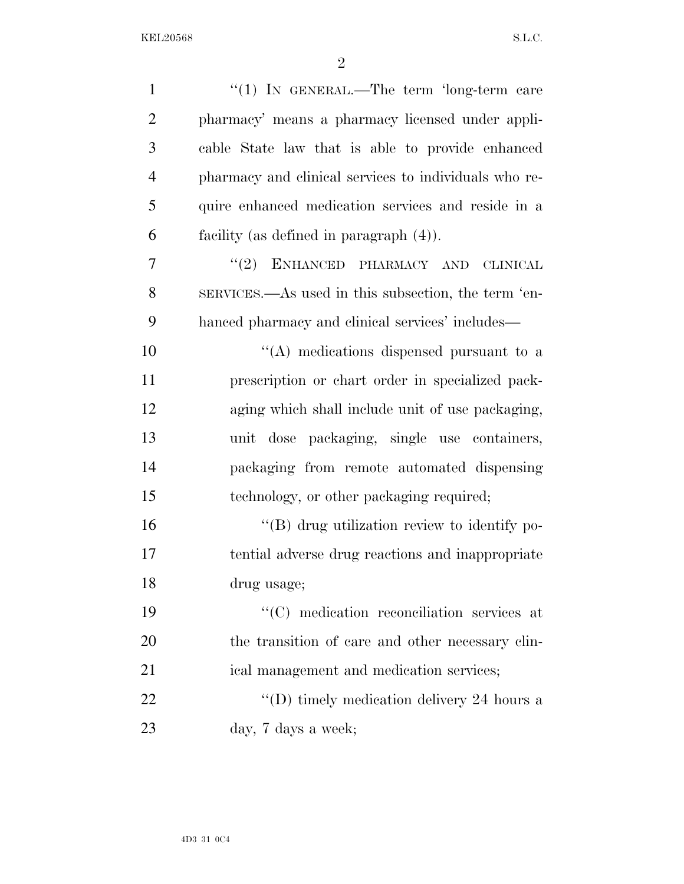| $\mathbf{1}$   | "(1) IN GENERAL.—The term 'long-term care             |
|----------------|-------------------------------------------------------|
| $\overline{2}$ | pharmacy' means a pharmacy licensed under appli-      |
| 3              | cable State law that is able to provide enhanced      |
| $\overline{4}$ | pharmacy and clinical services to individuals who re- |
| 5              | quire enhanced medication services and reside in a    |
| 6              | facility (as defined in paragraph $(4)$ ).            |
| $\overline{7}$ | "(2) ENHANCED PHARMACY AND<br><b>CLINICAL</b>         |
| 8              | SERVICES.—As used in this subsection, the term 'en-   |
| 9              | hanced pharmacy and clinical services' includes—      |
| 10             | "(A) medications dispensed pursuant to a              |
| 11             | prescription or chart order in specialized pack-      |
| 12             | aging which shall include unit of use packaging,      |
| 13             | unit dose packaging, single use containers,           |
| 14             | packaging from remote automated dispensing            |
| 15             | technology, or other packaging required;              |
| 16             | "(B) drug utilization review to identify po-          |
| 17             | tential adverse drug reactions and inappropriate      |
| 18             | drug usage;                                           |
| 19             | "(C) medication reconciliation services at            |
| 20             | the transition of care and other necessary clin-      |
| 21             | ical management and medication services;              |
| 22             | "(D) timely medication delivery 24 hours a            |
| 23             | day, 7 days a week;                                   |